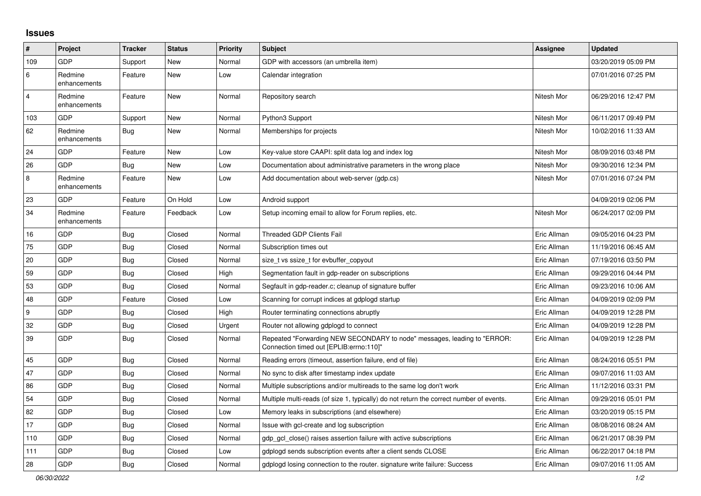## **Issues**

| #                | Project                 | <b>Tracker</b> | <b>Status</b> | <b>Priority</b> | <b>Subject</b>                                                                                                      | Assignee    | <b>Updated</b>      |
|------------------|-------------------------|----------------|---------------|-----------------|---------------------------------------------------------------------------------------------------------------------|-------------|---------------------|
| 109              | <b>GDP</b>              | Support        | New           | Normal          | GDP with accessors (an umbrella item)                                                                               |             | 03/20/2019 05:09 PM |
| 6                | Redmine<br>enhancements | Feature        | <b>New</b>    | Low             | Calendar integration                                                                                                |             | 07/01/2016 07:25 PM |
| $\overline{4}$   | Redmine<br>enhancements | Feature        | New           | Normal          | Repository search                                                                                                   | Nitesh Mor  | 06/29/2016 12:47 PM |
| 103              | GDP                     | Support        | New           | Normal          | Python3 Support                                                                                                     | Nitesh Mor  | 06/11/2017 09:49 PM |
| 62               | Redmine<br>enhancements | Bug            | New           | Normal          | Memberships for projects                                                                                            | Nitesh Mor  | 10/02/2016 11:33 AM |
| 24               | GDP                     | Feature        | New           | Low             | Key-value store CAAPI: split data log and index log                                                                 | Nitesh Mor  | 08/09/2016 03:48 PM |
| 26               | <b>GDP</b>              | Bug            | New           | Low             | Documentation about administrative parameters in the wrong place                                                    | Nitesh Mor  | 09/30/2016 12:34 PM |
| 8                | Redmine<br>enhancements | Feature        | New           | Low             | Add documentation about web-server (gdp.cs)                                                                         | Nitesh Mor  | 07/01/2016 07:24 PM |
| 23               | <b>GDP</b>              | Feature        | On Hold       | Low             | Android support                                                                                                     |             | 04/09/2019 02:06 PM |
| 34               | Redmine<br>enhancements | Feature        | Feedback      | Low             | Setup incoming email to allow for Forum replies, etc.                                                               | Nitesh Mor  | 06/24/2017 02:09 PM |
| 16               | GDP                     | <b>Bug</b>     | Closed        | Normal          | <b>Threaded GDP Clients Fail</b>                                                                                    | Eric Allman | 09/05/2016 04:23 PM |
| 75               | GDP                     | <b>Bug</b>     | Closed        | Normal          | Subscription times out                                                                                              | Eric Allman | 11/19/2016 06:45 AM |
| 20               | GDP                     | Bug            | Closed        | Normal          | size t vs ssize t for evbuffer copyout                                                                              | Eric Allman | 07/19/2016 03:50 PM |
| 59               | <b>GDP</b>              | Bug            | Closed        | High            | Segmentation fault in gdp-reader on subscriptions                                                                   | Eric Allman | 09/29/2016 04:44 PM |
| 53               | GDP                     | Bug            | Closed        | Normal          | Segfault in gdp-reader.c; cleanup of signature buffer                                                               | Eric Allman | 09/23/2016 10:06 AM |
| 48               | GDP                     | Feature        | Closed        | Low             | Scanning for corrupt indices at gdplogd startup                                                                     | Eric Allman | 04/09/2019 02:09 PM |
| $\boldsymbol{9}$ | <b>GDP</b>              | Bug            | Closed        | High            | Router terminating connections abruptly                                                                             | Eric Allman | 04/09/2019 12:28 PM |
| 32               | GDP                     | <b>Bug</b>     | Closed        | Urgent          | Router not allowing gdplogd to connect                                                                              | Eric Allman | 04/09/2019 12:28 PM |
| 39               | <b>GDP</b>              | Bug            | Closed        | Normal          | Repeated "Forwarding NEW SECONDARY to node" messages, leading to "ERROR:<br>Connection timed out [EPLIB:errno:110]" | Eric Allman | 04/09/2019 12:28 PM |
| 45               | GDP                     | <b>Bug</b>     | Closed        | Normal          | Reading errors (timeout, assertion failure, end of file)                                                            | Eric Allman | 08/24/2016 05:51 PM |
| 47               | GDP                     | <b>Bug</b>     | Closed        | Normal          | No sync to disk after timestamp index update                                                                        | Eric Allman | 09/07/2016 11:03 AM |
| 86               | GDP                     | Bug            | Closed        | Normal          | Multiple subscriptions and/or multireads to the same log don't work                                                 | Eric Allman | 11/12/2016 03:31 PM |
| 54               | <b>GDP</b>              | Bug            | Closed        | Normal          | Multiple multi-reads (of size 1, typically) do not return the correct number of events.                             | Eric Allman | 09/29/2016 05:01 PM |
| 82               | GDP                     | <b>Bug</b>     | Closed        | Low             | Memory leaks in subscriptions (and elsewhere)                                                                       | Eric Allman | 03/20/2019 05:15 PM |
| 17               | GDP                     | Bug            | Closed        | Normal          | Issue with gcl-create and log subscription                                                                          | Eric Allman | 08/08/2016 08:24 AM |
| 110              | <b>GDP</b>              | Bug            | Closed        | Normal          | gdp gcl close() raises assertion failure with active subscriptions                                                  | Eric Allman | 06/21/2017 08:39 PM |
| 111              | GDP                     | <b>Bug</b>     | Closed        | Low             | gdplogd sends subscription events after a client sends CLOSE                                                        | Eric Allman | 06/22/2017 04:18 PM |
| 28               | <b>GDP</b>              | <b>Bug</b>     | Closed        | Normal          | adpload losing connection to the router, signature write failure: Success                                           | Eric Allman | 09/07/2016 11:05 AM |